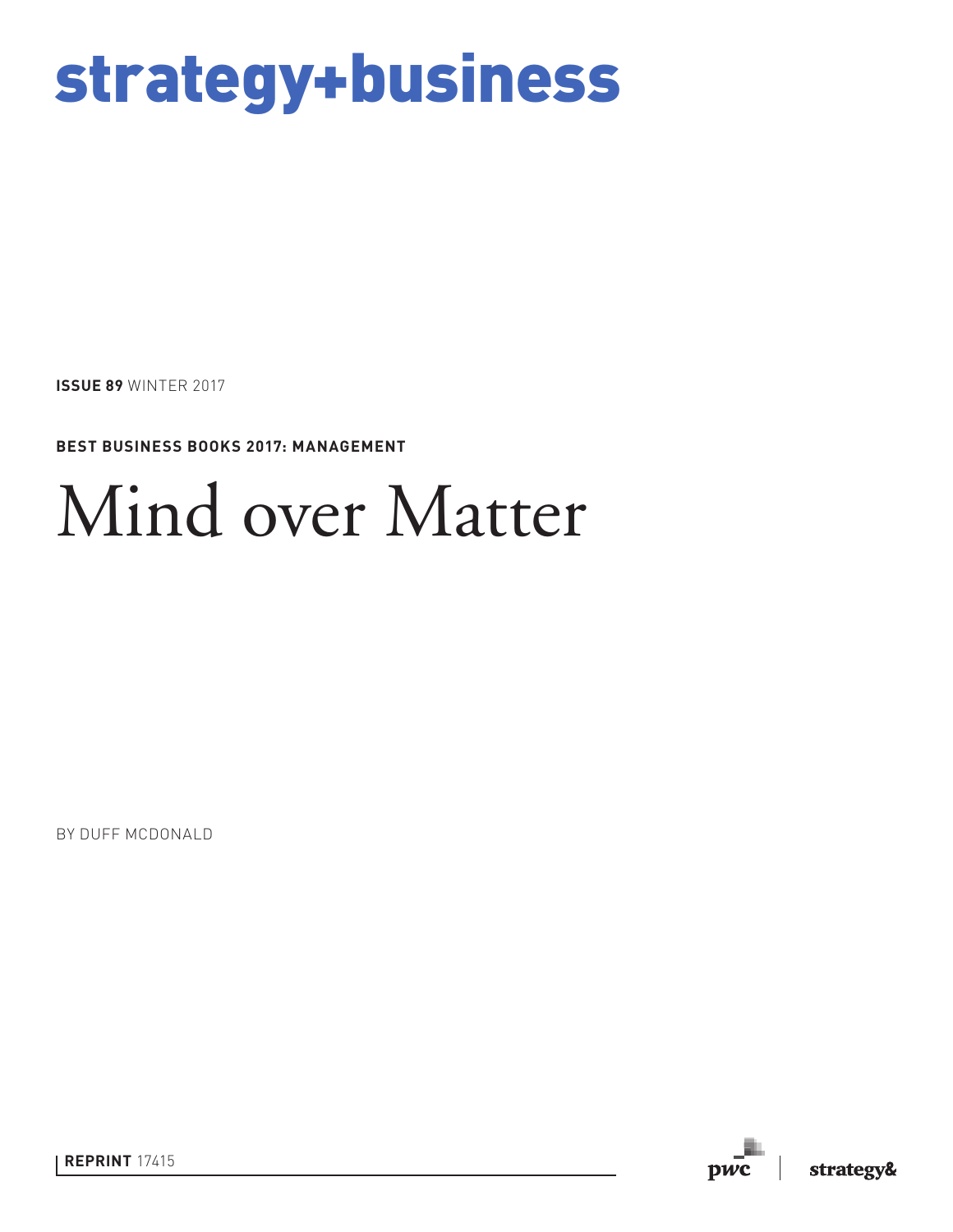# strategy+business

**ISSUE 89** WINTER 2017

**BEST BUSINESS BOOKS 2017: MANAGEMENT** 

# Mind over Matter

BY DUFF MCDONALD

**REPRINT** 17415

**DWC**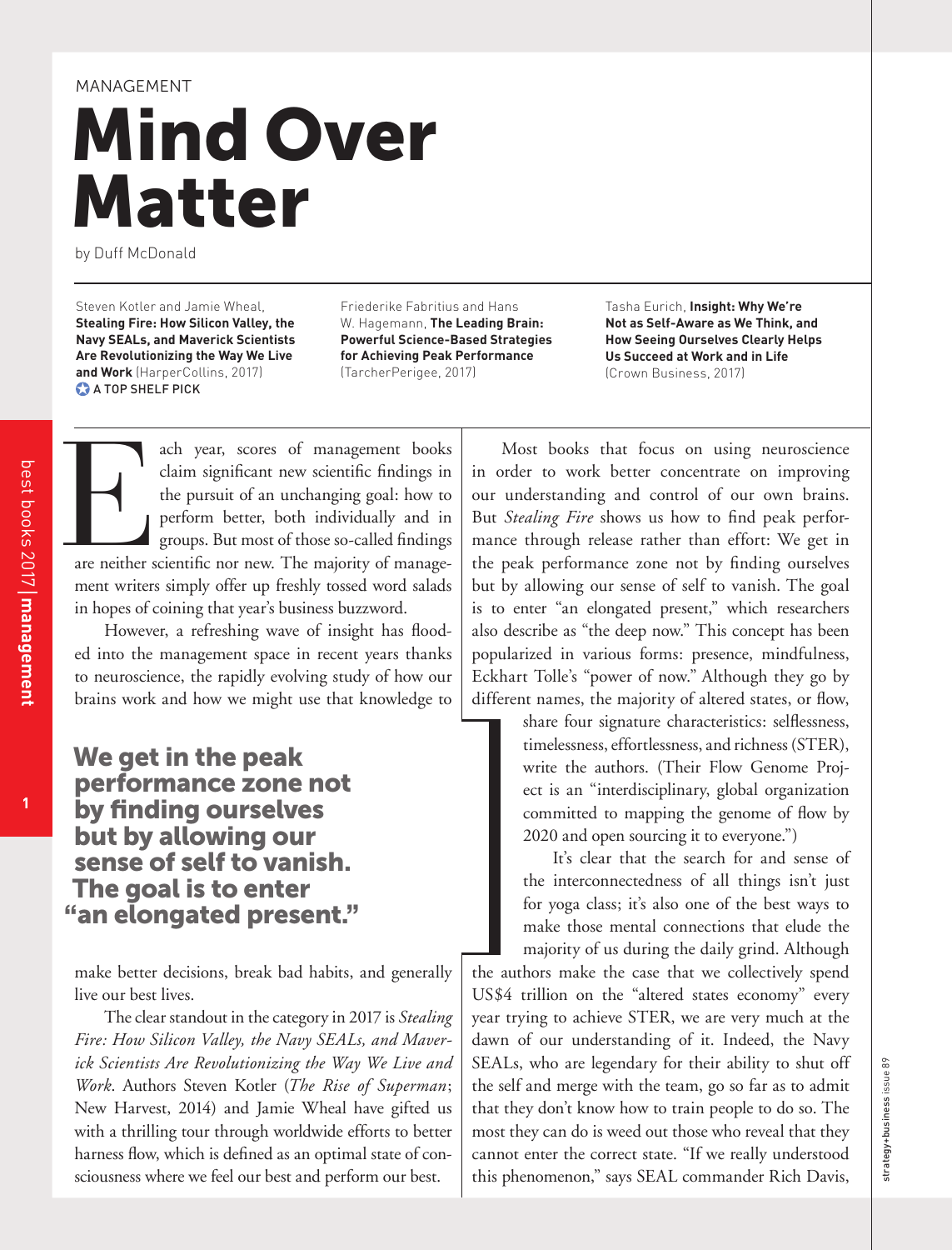# Mind Over Matter MANAGEMENT

by Duff McDonald

Steven Kotler and Jamie Wheal, **Stealing Fire: How Silicon Valley, the Navy SEALs, and Maverick Scientists Are Revolutionizing the Way We Live and Work** (HarperCollins, 2017) **A TOP SHELF PICK** 

Friederike Fabritius and Hans W. Hagemann, **The Leading Brain: Powerful Science-Based Strategies for Achieving Peak Performance** (TarcherPerigee, 2017)

Tasha Eurich, **Insight: Why We're Not as Self-Aware as We Think, and How Seeing Ourselves Clearly Helps Us Succeed at Work and in Life** (Crown Business, 2017)

ach year, scores of management books<br>claim significant new scientific findings in<br>the pursuit of an unchanging goal: how to<br>perform better, both individually and in<br>groups. But most of those so-called findings<br>are neither ach year, scores of management books claim significant new scientific findings in the pursuit of an unchanging goal: how to perform better, both individually and in groups. But most of those so-called findings ment writers simply offer up freshly tossed word salads in hopes of coining that year's business buzzword.

However, a refreshing wave of insight has flooded into the management space in recent years thanks to neuroscience, the rapidly evolving study of how our brains work and how we might use that knowledge to

We get in the peak performance zone not by finding ourselves but by allowing our sense of self to vanish. The goal is to enter "an elongated present."

make better decisions, break bad habits, and generally live our best lives.

The clear standout in the category in 2017 is *Stealing Fire: How Silicon Valley, the Navy SEALs, and Maverick Scientists Are Revolutionizing the Way We Live and Work*. Authors Steven Kotler (*The Rise of Superman*; New Harvest, 2014) and Jamie Wheal have gifted us with a thrilling tour through worldwide efforts to better harness flow, which is defined as an optimal state of consciousness where we feel our best and perform our best.

Most books that focus on using neuroscience in order to work better concentrate on improving our understanding and control of our own brains. But *Stealing Fire* shows us how to find peak performance through release rather than effort: We get in the peak performance zone not by finding ourselves but by allowing our sense of self to vanish. The goal is to enter "an elongated present," which researchers also describe as "the deep now." This concept has been popularized in various forms: presence, mindfulness, Eckhart Tolle's "power of now." Although they go by different names, the majority of altered states, or flow,

> share four signature characteristics: selflessness, timelessness, effortlessness, and richness (STER), write the authors. (Their Flow Genome Project is an "interdisciplinary, global organization committed to mapping the genome of flow by 2020 and open sourcing it to everyone.")

> It's clear that the search for and sense of the interconnectedness of all things isn't just for yoga class; it's also one of the best ways to make those mental connections that elude the majority of us during the daily grind. Although

the authors make the case that we collectively spend US\$4 trillion on the "altered states economy" every year trying to achieve STER, we are very much at the dawn of our understanding of it. Indeed, the Navy SEALs, who are legendary for their ability to shut off the self and merge with the team, go so far as to admit that they don't know how to train people to do so. The most they can do is weed out those who reveal that they cannot enter the correct state. "If we really understood this phenomenon," says SEAL commander Rich Davis,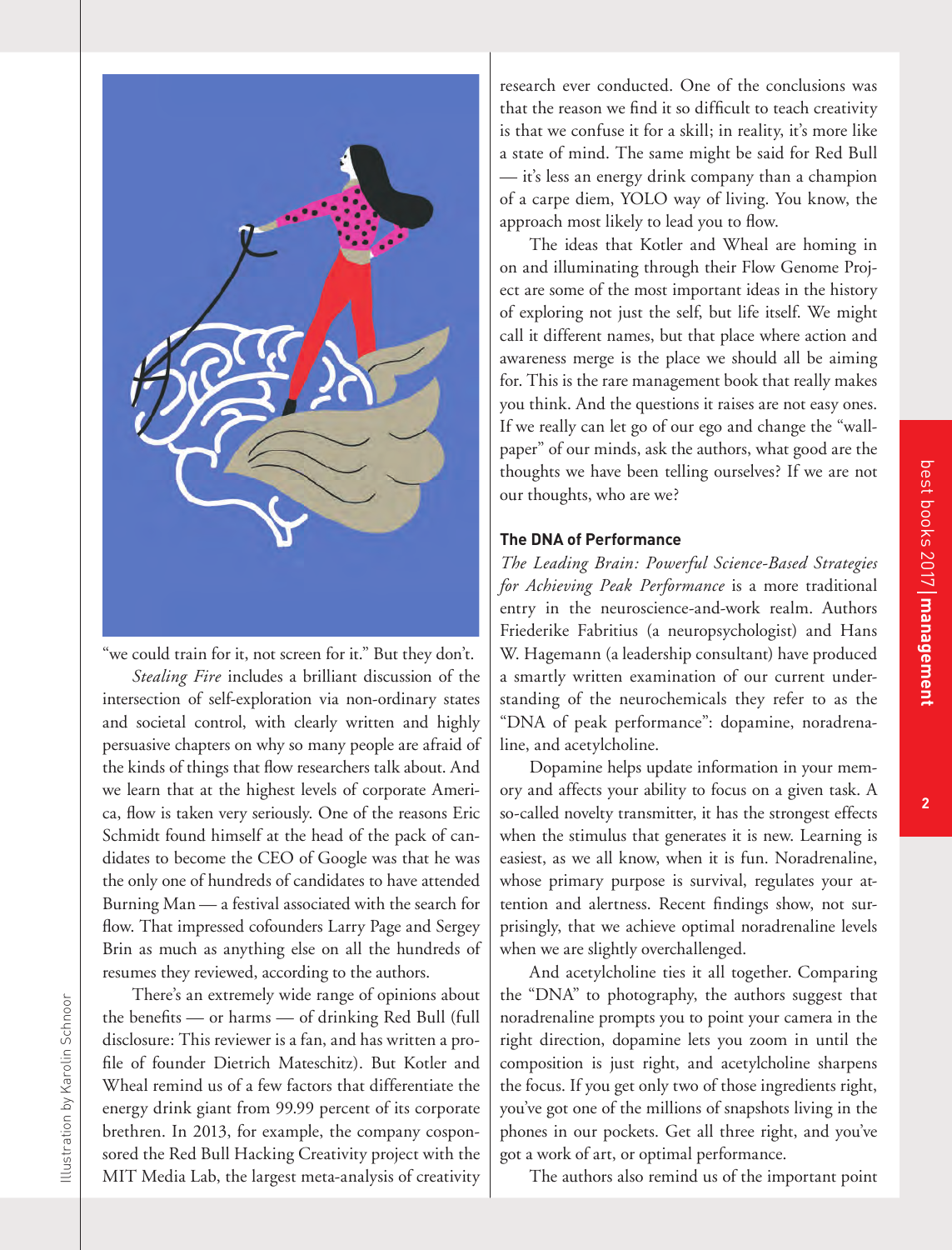$\overline{2}$ 



"we could train for it, not screen for it." But they don't. *Stealing Fire* includes a brilliant discussion of the intersection of self-exploration via non-ordinary states and societal control, with clearly written and highly persuasive chapters on why so many people are afraid of the kinds of things that flow researchers talk about. And we learn that at the highest levels of corporate America, flow is taken very seriously. One of the reasons Eric Schmidt found himself at the head of the pack of candidates to become the CEO of Google was that he was the only one of hundreds of candidates to have attended Burning Man — a festival associated with the search for flow. That impressed cofounders Larry Page and Sergey Brin as much as anything else on all the hundreds of resumes they reviewed, according to the authors.

There's an extremely wide range of opinions about the benefits — or harms — of drinking Red Bull (full disclosure: This reviewer is a fan, and has written a profile of founder Dietrich Mateschitz). But Kotler and Wheal remind us of a few factors that differentiate the energy drink giant from 99.99 percent of its corporate brethren. In 2013, for example, the company cosponsored the Red Bull Hacking Creativity project with the MIT Media Lab, the largest meta-analysis of creativity research ever conducted. One of the conclusions was that the reason we find it so difficult to teach creativity is that we confuse it for a skill; in reality, it's more like a state of mind. The same might be said for Red Bull — it's less an energy drink company than a champion of a carpe diem, YOLO way of living. You know, the approach most likely to lead you to flow.

The ideas that Kotler and Wheal are homing in on and illuminating through their Flow Genome Project are some of the most important ideas in the history of exploring not just the self, but life itself. We might call it different names, but that place where action and awareness merge is the place we should all be aiming for. This is the rare management book that really makes you think. And the questions it raises are not easy ones. If we really can let go of our ego and change the "wallpaper" of our minds, ask the authors, what good are the thoughts we have been telling ourselves? If we are not our thoughts, who are we?

### **The DNA of Performance**

*The Leading Brain: Powerful Science-Based Strategies for Achieving Peak Performance* is a more traditional entry in the neuroscience-and-work realm. Authors Friederike Fabritius (a neuropsychologist) and Hans W. Hagemann (a leadership consultant) have produced a smartly written examination of our current understanding of the neurochemicals they refer to as the "DNA of peak performance": dopamine, noradrenaline, and acetylcholine.

Dopamine helps update information in your memory and affects your ability to focus on a given task. A so-called novelty transmitter, it has the strongest effects when the stimulus that generates it is new. Learning is easiest, as we all know, when it is fun. Noradrenaline, whose primary purpose is survival, regulates your attention and alertness. Recent findings show, not surprisingly, that we achieve optimal noradrenaline levels when we are slightly overchallenged.

And acetylcholine ties it all together. Comparing the "DNA" to photography, the authors suggest that noradrenaline prompts you to point your camera in the right direction, dopamine lets you zoom in until the composition is just right, and acetylcholine sharpens the focus. If you get only two of those ingredients right, you've got one of the millions of snapshots living in the phones in our pockets. Get all three right, and you've got a work of art, or optimal performance.

The authors also remind us of the important point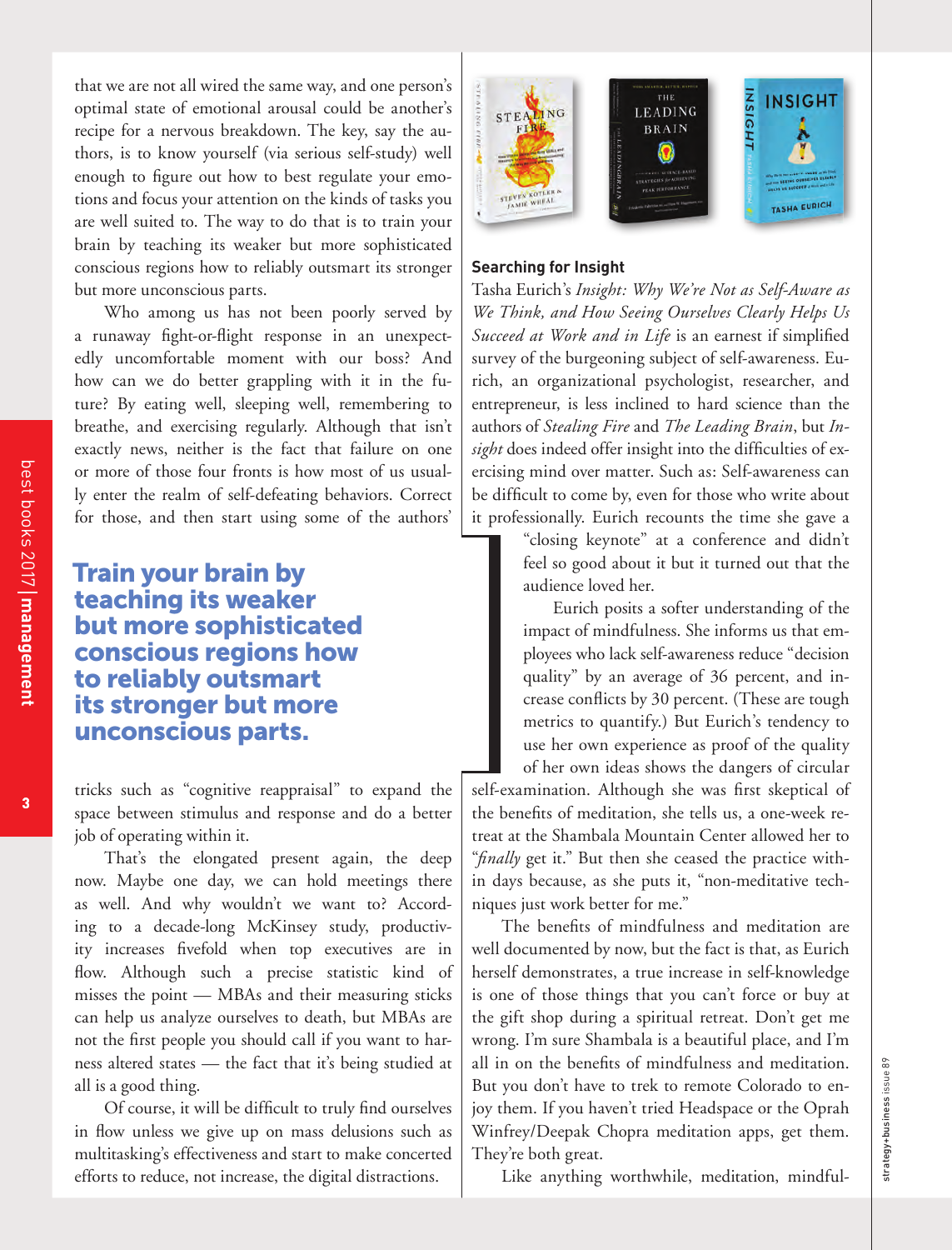that we are not all wired the same way, and one person's optimal state of emotional arousal could be another's recipe for a nervous breakdown. The key, say the authors, is to know yourself (via serious self-study) well enough to figure out how to best regulate your emotions and focus your attention on the kinds of tasks you are well suited to. The way to do that is to train your brain by teaching its weaker but more sophisticated conscious regions how to reliably outsmart its stronger but more unconscious parts.

Who among us has not been poorly served by a runaway fight-or-flight response in an unexpectedly uncomfortable moment with our boss? And how can we do better grappling with it in the future? By eating well, sleeping well, remembering to breathe, and exercising regularly. Although that isn't exactly news, neither is the fact that failure on one or more of those four fronts is how most of us usually enter the realm of self-defeating behaviors. Correct for those, and then start using some of the authors'

## Train your brain by teaching its weaker but more sophisticated conscious regions how to reliably outsmart its stronger but more unconscious parts.

tricks such as "cognitive reappraisal" to expand the space between stimulus and response and do a better job of operating within it.

That's the elongated present again, the deep now. Maybe one day, we can hold meetings there as well. And why wouldn't we want to? According to a decade-long McKinsey study, productivity increases fivefold when top executives are in flow. Although such a precise statistic kind of misses the point — MBAs and their measuring sticks can help us analyze ourselves to death, but MBAs are not the first people you should call if you want to harness altered states — the fact that it's being studied at all is a good thing.

Of course, it will be difficult to truly find ourselves in flow unless we give up on mass delusions such as multitasking's effectiveness and start to make concerted efforts to reduce, not increase, the digital distractions.



#### **Searching for Insight**

Tasha Eurich's *Insight: Why We're Not as Self-Aware as We Think, and How Seeing Ourselves Clearly Helps Us*  Succeed at Work and in Life is an earnest if simplified survey of the burgeoning subject of self-awareness. Eurich, an organizational psychologist, researcher, and entrepreneur, is less inclined to hard science than the authors of *Stealing Fire* and *The Leading Brain*, but *In*sight does indeed offer insight into the difficulties of exercising mind over matter. Such as: Self-awareness can be difficult to come by, even for those who write about it professionally. Eurich recounts the time she gave a

> "closing keynote" at a conference and didn't feel so good about it but it turned out that the audience loved her.

Eurich posits a softer understanding of the impact of mindfulness. She informs us that employees who lack self-awareness reduce "decision quality" by an average of 36 percent, and increase conflicts by 30 percent. (These are tough metrics to quantify.) But Eurich's tendency to use her own experience as proof of the quality of her own ideas shows the dangers of circular

self-examination. Although she was first skeptical of the benefits of meditation, she tells us, a one-week retreat at the Shambala Mountain Center allowed her to "finally get it." But then she ceased the practice within days because, as she puts it, "non-meditative techniques just work better for me."

The benefits of mindfulness and meditation are well documented by now, but the fact is that, as Eurich herself demonstrates, a true increase in self-knowledge is one of those things that you can't force or buy at the gift shop during a spiritual retreat. Don't get me wrong. I'm sure Shambala is a beautiful place, and I'm all in on the benefits of mindfulness and meditation. But you don't have to trek to remote Colorado to enjoy them. If you haven't tried Headspace or the Oprah Winfrey/Deepak Chopra meditation apps, get them. They're both great.

Like anything worthwhile, meditation, mindful-

strategy+business issue 89

strategy+business issue 89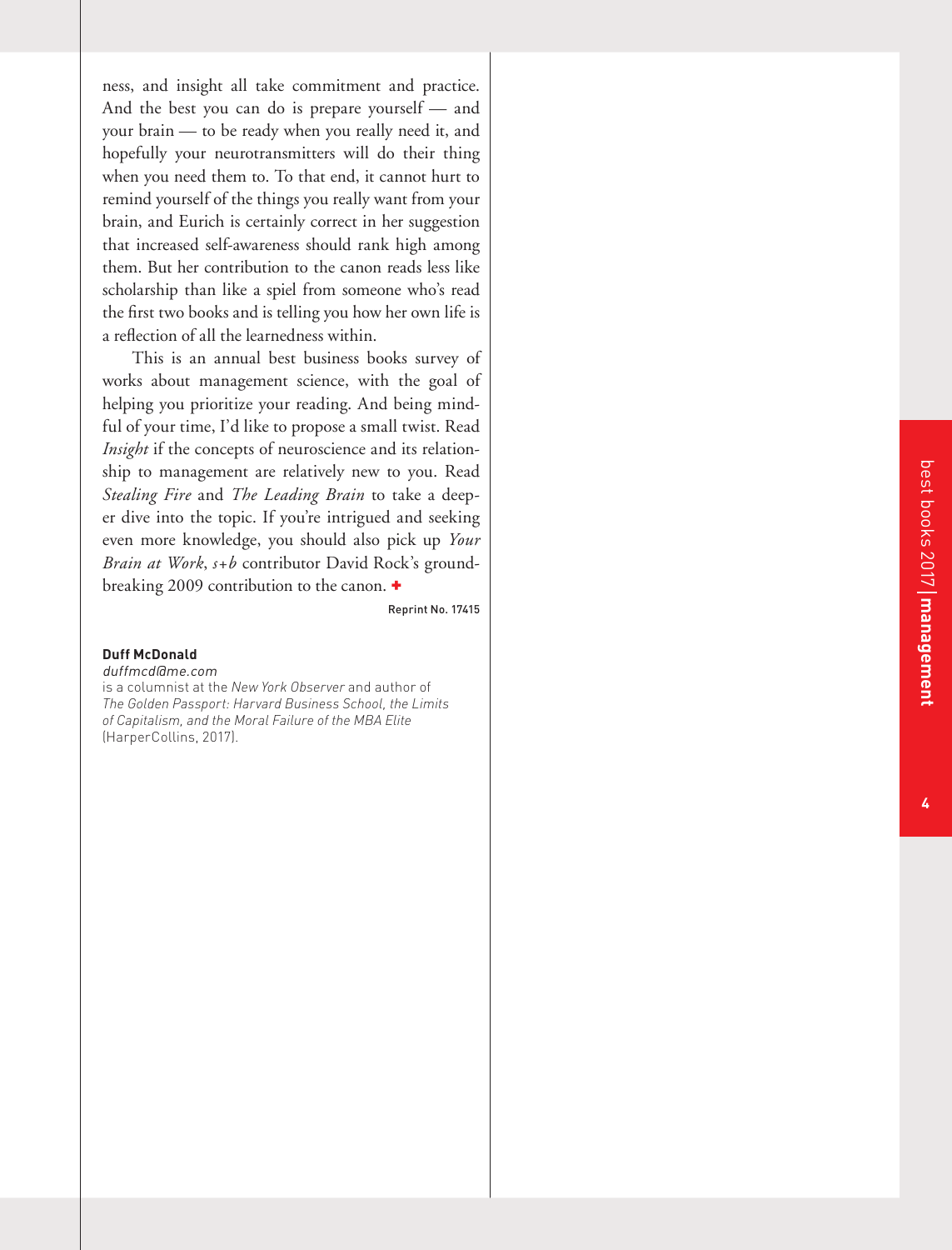ness, and insight all take commitment and practice. And the best you can do is prepare yourself — and your brain — to be ready when you really need it, and hopefully your neurotransmitters will do their thing when you need them to. To that end, it cannot hurt to remind yourself of the things you really want from your brain, and Eurich is certainly correct in her suggestion that increased self-awareness should rank high among them. But her contribution to the canon reads less like scholarship than like a spiel from someone who's read the first two books and is telling you how her own life is a reflection of all the learnedness within.

This is an annual best business books survey of works about management science, with the goal of helping you prioritize your reading. And being mind ful of your time, I'd like to propose a small twist. Read *Insight* if the concepts of neuroscience and its relation ship to management are relatively new to you. Read *Stealing Fire* and *The Leading Brain* to take a deep er dive into the topic. If you're intrigued and seeking even more knowledge, you should also pick up *Your Brain at Work*, *s+b* contributor David Rock's ground breaking 2009 contribution to the canon. +

Reprint No. 17415

#### **Duff McDonald**

duffmcd@me.com is a columnist at the *New York Observer* and author of *The Golden Passport: Harvard Business School, the Limits of Capitalism, and the Moral Failure of the MBA Elite*  (HarperCollins, 2017).